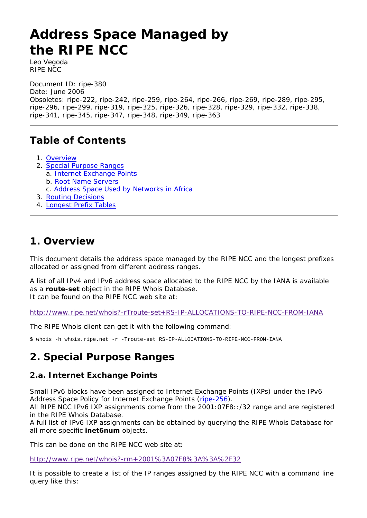# **Address Space Managed by the RIPE NCC**

*Leo Vegoda RIPE NCC* 

Document ID: ripe-380

Date: June 2006

Obsoletes: ripe-222, ripe-242, ripe-259, ripe-264, ripe-266, ripe-269, ripe-289, ripe-295, ripe-296, ripe-299, ripe-319, ripe-325, ripe-326, ripe-328, ripe-329, ripe-332, ripe-338, ripe-341, ripe-345, ripe-347, ripe-348, ripe-349, ripe-363

# **Table of Contents**

- 1. Overview
- 2. Special Purpose Ranges
	- a. Internet Exchange Points
	- b. Root Name Servers
	- c. Address Space Used by Networks in Africa
- 3. Routing Decisions
- 4. Longest Prefix Tables

### **1. Overview**

This document details the address space managed by the RIPE NCC and the longest prefixes allocated or assigned from different address ranges.

A list of all IPv4 and IPv6 address space allocated to the RIPE NCC by the IANA is available as a **route-set** object in the RIPE Whois Database. It can be found on the RIPE NCC web site at:

http://www.ripe.net/whois?-rTroute-set+RS-IP-ALLOCATIONS-TO-RIPE-NCC-FROM-IANA

The RIPE Whois client can get it with the following command:

\$ whois -h whois.ripe.net -r -Troute-set RS-IP-ALLOCATIONS-TO-RIPE-NCC-FROM-IANA

## **2. Special Purpose Ranges**

#### **2.a. Internet Exchange Points**

Small IPv6 blocks have been assigned to Internet Exchange Points (IXPs) under the IPv6 Address Space Policy for Internet Exchange Points (ripe-256).

All RIPE NCC IPv6 IXP assignments come from the 2001:07F8::/32 range and are registered in the RIPE Whois Database.

A full list of IPv6 IXP assignments can be obtained by querying the RIPE Whois Database for all more specific **inet6num** objects.

This can be done on the RIPE NCC web site at:

http://www.ripe.net/whois?-rm+2001%3A07F8%3A%3A%2F32

It is possible to create a list of the IP ranges assigned by the RIPE NCC with a command line query like this: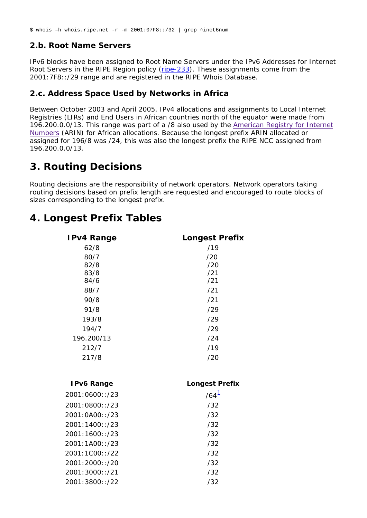\$ whois –h whois.ripe.net -r -m 2001:07F8::/32 | grep ^inet6num

#### **2.b. Root Name Servers**

IPv6 blocks have been assigned to Root Name Servers under the IPv6 Addresses for Internet Root Servers in the RIPE Region policy (ripe-233). These assignments come from the 2001:7F8::/29 range and are registered in the RIPE Whois Database.

#### **2.c. Address Space Used by Networks in Africa**

Between October 2003 and April 2005, IPv4 allocations and assignments to Local Internet Registries (LIRs) and End Users in African countries north of the equator were made from 196.200.0.0/13. This range was part of a /8 also used by the American Registry for Internet Numbers (ARIN) for African allocations. Because the longest prefix ARIN allocated or assigned for 196/8 was /24, this was also the longest prefix the RIPE NCC assigned from 196.200.0.0/13.

# **3. Routing Decisions**

Routing decisions are the responsibility of network operators. Network operators taking routing decisions based on prefix length are requested and encouraged to route blocks of sizes corresponding to the longest prefix.

# **4. Longest Prefix Tables**

| <b>IPv4 Range</b> | <b>Longest Prefix</b> |
|-------------------|-----------------------|
| 62/8              | /19                   |
| 80/7              | /20                   |
| 82/8              | /20                   |
| 83/8              | /21<br>/21            |
| 84/6              |                       |
| 88/7              | /21                   |
| 90/8              | /21                   |
| 91/8              | /29                   |
| 193/8             | /29                   |
| 194/7             | /29                   |
| 196.200/13        | /24                   |
| 212/7             | /19                   |
| 217/8             | /20                   |
|                   |                       |
| <b>IPv6 Range</b> | <b>Longest Prefix</b> |
| 2001:0600::/23    | $/64^{\frac{1}{2}}$   |
| 2001:0800::/23    | /32                   |
| 2001:0A00::/23    | /32                   |
| 2001:1400::/23    | /32                   |
| 2001:1600::/23    | /32                   |
| 2001:1A00::/23    | /32                   |
| 2001:1C00::/22    | /32                   |
| 2001:2000::/20    | /32                   |
| 2001:3000::/21    | /32                   |
| 2001:3800::/22    | /32                   |